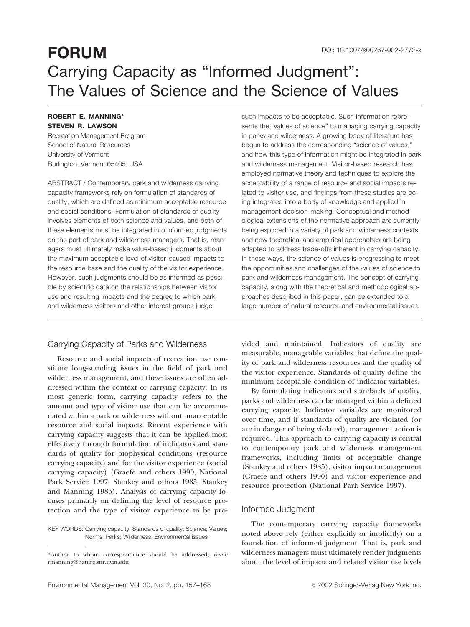# **FORUM** Carrying Capacity as "Informed Judgment": The Values of Science and the Science of Values

# **ROBERT E. MANNING\* STEVEN R. LAWSON**

Recreation Management Program School of Natural Resources University of Vermont Burlington, Vermont 05405, USA

ABSTRACT / Contemporary park and wilderness carrying capacity frameworks rely on formulation of standards of quality, which are defined as minimum acceptable resource and social conditions. Formulation of standards of quality involves elements of both science and values, and both of these elements must be integrated into informed judgments on the part of park and wilderness managers. That is, managers must ultimately make value-based judgments about the maximum acceptable level of visitor-caused impacts to the resource base and the quality of the visitor experience. However, such judgments should be as informed as possible by scientific data on the relationships between visitor use and resulting impacts and the degree to which park and wilderness visitors and other interest groups judge

# Carrying Capacity of Parks and Wilderness

Resource and social impacts of recreation use constitute long-standing issues in the field of park and wilderness management, and these issues are often addressed within the context of carrying capacity. In its most generic form, carrying capacity refers to the amount and type of visitor use that can be accommodated within a park or wilderness without unacceptable resource and social impacts. Recent experience with carrying capacity suggests that it can be applied most effectively through formulation of indicators and standards of quality for biophysical conditions (resource carrying capacity) and for the visitor experience (social carrying capacity) (Graefe and others 1990, National Park Service 1997, Stankey and others 1985, Stankey and Manning 1986). Analysis of carrying capacity focuses primarily on defining the level of resource protection and the type of visitor experience to be prosuch impacts to be acceptable. Such information represents the "values of science" to managing carrying capacity in parks and wilderness. A growing body of literature has begun to address the corresponding "science of values," and how this type of information might be integrated in park and wilderness management. Visitor-based research has employed normative theory and techniques to explore the acceptability of a range of resource and social impacts related to visitor use, and findings from these studies are being integrated into a body of knowledge and applied in management decision-making. Conceptual and methodological extensions of the normative approach are currently being explored in a variety of park and wilderness contexts, and new theoretical and empirical approaches are being adapted to address trade-offs inherent in carrying capacity. In these ways, the science of values is progressing to meet the opportunities and challenges of the values of science to park and wilderness management. The concept of carrying

capacity, along with the theoretical and methodological approaches described in this paper, can be extended to a large number of natural resource and environmental issues.

vided and maintained. Indicators of quality are measurable, manageable variables that define the quality of park and wilderness resources and the quality of the visitor experience. Standards of quality define the minimum acceptable condition of indicator variables.

By formulating indicators and standards of quality, parks and wilderness can be managed within a defined carrying capacity. Indicator variables are monitored over time, and if standards of quality are violated (or are in danger of being violated), management action is required. This approach to carrying capacity is central to contemporary park and wilderness management frameworks, including limits of acceptable change (Stankey and others 1985), visitor impact management (Graefe and others 1990) and visitor experience and resource protection (National Park Service 1997).

# Informed Judgment

The contemporary carrying capacity frameworks noted above rely (either explicitly or implicitly) on a foundation of informed judgment. That is, park and wilderness managers must ultimately render judgments about the level of impacts and related visitor use levels

KEY WORDS: Carrying capacity; Standards of quality; Science; Values; Norms; Parks; Wilderness; Environmental issues

<sup>\*</sup>Author to whom correspondence should be addressed; *email:* rmanning@nature.snr.uvm.edu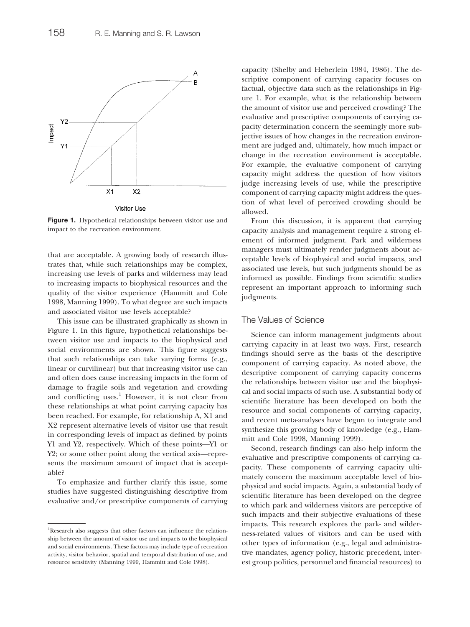

**Figure 1.** Hypothetical relationships between visitor use and impact to the recreation environment.

that are acceptable. A growing body of research illustrates that, while such relationships may be complex, increasing use levels of parks and wilderness may lead to increasing impacts to biophysical resources and the quality of the visitor experience (Hammitt and Cole 1998, Manning 1999). To what degree are such impacts and associated visitor use levels acceptable?

This issue can be illustrated graphically as shown in Figure 1. In this figure, hypothetical relationships between visitor use and impacts to the biophysical and social environments are shown. This figure suggests that such relationships can take varying forms (e.g., linear or curvilinear) but that increasing visitor use can and often does cause increasing impacts in the form of damage to fragile soils and vegetation and crowding and conflicting uses. $<sup>1</sup>$  However, it is not clear from</sup> these relationships at what point carrying capacity has been reached. For example, for relationship A, X1 and X2 represent alternative levels of visitor use that result in corresponding levels of impact as defined by points Y1 and Y2, respectively. Which of these points—Y1 or Y2; or some other point along the vertical axis—represents the maximum amount of impact that is acceptable?

To emphasize and further clarify this issue, some studies have suggested distinguishing descriptive from evaluative and/or prescriptive components of carrying capacity (Shelby and Heberlein 1984, 1986). The descriptive component of carrying capacity focuses on factual, objective data such as the relationships in Figure 1. For example, what is the relationship between the amount of visitor use and perceived crowding? The evaluative and prescriptive components of carrying capacity determination concern the seemingly more subjective issues of how changes in the recreation environment are judged and, ultimately, how much impact or change in the recreation environment is acceptable. For example, the evaluative component of carrying capacity might address the question of how visitors judge increasing levels of use, while the prescriptive component of carrying capacity might address the question of what level of perceived crowding should be allowed.

From this discussion, it is apparent that carrying capacity analysis and management require a strong element of informed judgment. Park and wilderness managers must ultimately render judgments about acceptable levels of biophysical and social impacts, and associated use levels, but such judgments should be as informed as possible. Findings from scientific studies represent an important approach to informing such judgments.

# The Values of Science

Science can inform management judgments about carrying capacity in at least two ways. First, research findings should serve as the basis of the descriptive component of carrying capacity. As noted above, the descriptive component of carrying capacity concerns the relationships between visitor use and the biophysical and social impacts of such use. A substantial body of scientific literature has been developed on both the resource and social components of carrying capacity, and recent meta-analyses have begun to integrate and synthesize this growing body of knowledge (e.g., Hammitt and Cole 1998, Manning 1999).

Second, research findings can also help inform the evaluative and prescriptive components of carrying capacity. These components of carrying capacity ultimately concern the maximum acceptable level of biophysical and social impacts. Again, a substantial body of scientific literature has been developed on the degree to which park and wilderness visitors are perceptive of such impacts and their subjective evaluations of these impacts. This research explores the park- and wilderness-related values of visitors and can be used with other types of information (e.g., legal and administrative mandates, agency policy, historic precedent, interest group politics, personnel and financial resources) to

<sup>&</sup>lt;sup>1</sup>Research also suggests that other factors can influence the relationship between the amount of visitor use and impacts to the biophysical and social environments. These factors may include type of recreation activity, visitor behavior, spatial and temporal distribution of use, and resource sensitivity (Manning 1999, Hammitt and Cole 1998).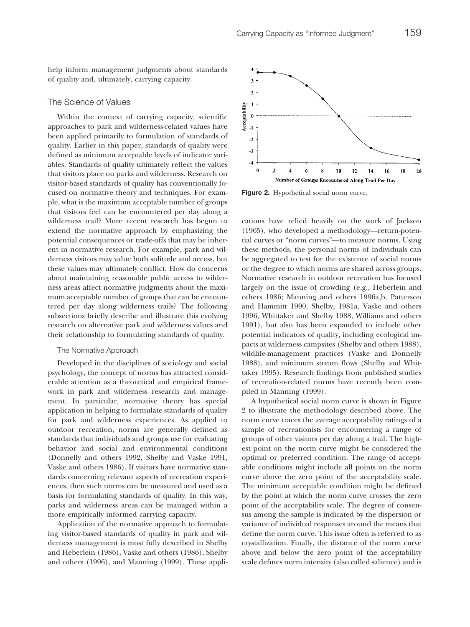help inform management judgments about standards of quality and, ultimately, carrying capacity.

## The Science of Values

Within the context of carrying capacity, scientific approaches to park and wilderness-related values have been applied primarily to formulation of standards of quality. Earlier in this paper, standards of quality were defined as minimum acceptable levels of indicator variables. Standards of quality ultimately reflect the values that visitors place on parks and wilderness. Research on visitor-based standards of quality has conventionally focused on normative theory and techniques. For example, what is the maximum acceptable number of groups that visitors feel can be encountered per day along a wilderness trail? More recent research has begun to extend the normative approach by emphasizing the potential consequences or trade-offs that may be inherent in normative research. For example, park and wilderness visitors may value both solitude and access, but these values may ultimately conflict. How do concerns about maintaining reasonable public access to wilderness areas affect normative judgments about the maximum acceptable number of groups that can be encountered per day along wilderness trails? The following subsections briefly describe and illustrate this evolving research on alternative park and wilderness values and their relationship to formulating standards of quality.

#### The Normative Approach

Developed in the disciplines of sociology and social psychology, the concept of norms has attracted considerable attention as a theoretical and empirical framework in park and wilderness research and management. In particular, normative theory has special application in helping to formulate standards of quality for park and wilderness experiences. As applied to outdoor recreation, norms are generally defined as standards that individuals and groups use for evaluating behavior and social and environmental conditions (Donnelly and others 1992, Shelby and Vaske 1991, Vaske and others 1986). If visitors have normative standards concerning relevant aspects of recreation experiences, then such norms can be measured and used as a basis for formulating standards of quality. In this way, parks and wilderness areas can be managed within a more empirically informed carrying capacity.

Application of the normative approach to formulating visitor-based standards of quality in park and wilderness management is most fully described in Shelby and Heberlein (1986), Vaske and others (1986), Shelby and others (1996), and Manning (1999). These appli-



**Figure 2.** Hypothetical social norm curve.

cations have relied heavily on the work of Jackson (1965), who developed a methodology—return-potential curves or "norm curves"—to measure norms. Using these methods, the personal norms of individuals can be aggregated to test for the existence of social norms or the degree to which norms are shared across groups. Normative research in outdoor recreation has focused largely on the issue of crowding (e.g., Heberlein and others 1986; Manning and others 1996a,b, Patterson and Hammitt 1990, Shelby, 1981a, Vaske and others 1996, Whittaker and Shelby 1988, Williams and others 1991), but also has been expanded to include other potential indicators of quality, including ecological impacts at wilderness campsites (Shelby and others 1988), wildlife-management practices (Vaske and Donnelly 1988), and minimum stream flows (Shelby and Whittaker 1995). Research findings from published studies of recreation-related norms have recently been compiled in Manning (1999).

A hypothetical social norm curve is shown in Figure 2 to illustrate the methodology described above. The norm curve traces the average acceptability ratings of a sample of recreationists for encountering a range of groups of other visitors per day along a trail. The highest point on the norm curve might be considered the optimal or preferred condition. The range of acceptable conditions might include all points on the norm curve above the zero point of the acceptability scale. The minimum acceptable condition might be defined by the point at which the norm curve crosses the zero point of the acceptability scale. The degree of consensus among the sample is indicated by the dispersion or variance of individual responses around the means that define the norm curve. This issue often is referred to as crystallization. Finally, the distance of the norm curve above and below the zero point of the acceptability scale defines norm intensity (also called salience) and is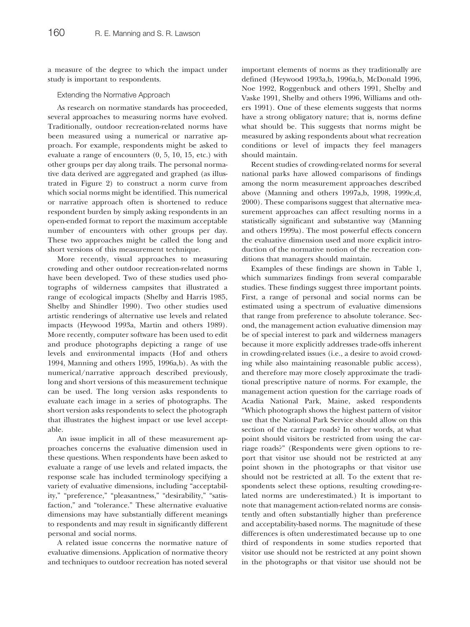a measure of the degree to which the impact under study is important to respondents.

## Extending the Normative Approach

As research on normative standards has proceeded, several approaches to measuring norms have evolved. Traditionally, outdoor recreation-related norms have been measured using a numerical or narrative approach. For example, respondents might be asked to evaluate a range of encounters (0, 5, 10, 15, etc.) with other groups per day along trails. The personal normative data derived are aggregated and graphed (as illustrated in Figure 2) to construct a norm curve from which social norms might be identified. This numerical or narrative approach often is shortened to reduce respondent burden by simply asking respondents in an open-ended format to report the maximum acceptable number of encounters with other groups per day. These two approaches might be called the long and short versions of this measurement technique.

More recently, visual approaches to measuring crowding and other outdoor recreation-related norms have been developed. Two of these studies used photographs of wilderness campsites that illustrated a range of ecological impacts (Shelby and Harris 1985, Shelby and Shindler 1990). Two other studies used artistic renderings of alternative use levels and related impacts (Heywood 1993a, Martin and others 1989). More recently, computer software has been used to edit and produce photographs depicting a range of use levels and environmental impacts (Hof and others 1994, Manning and others 1995, 1996a,b). As with the numerical/narrative approach described previously, long and short versions of this measurement technique can be used. The long version asks respondents to evaluate each image in a series of photographs. The short version asks respondents to select the photograph that illustrates the highest impact or use level acceptable.

An issue implicit in all of these measurement approaches concerns the evaluative dimension used in these questions. When respondents have been asked to evaluate a range of use levels and related impacts, the response scale has included terminology specifying a variety of evaluative dimensions, including "acceptability," "preference," "pleasantness," "desirability," "satisfaction," and "tolerance." These alternative evaluative dimensions may have substantially different meanings to respondents and may result in significantly different personal and social norms.

A related issue concerns the normative nature of evaluative dimensions. Application of normative theory and techniques to outdoor recreation has noted several

important elements of norms as they traditionally are defined (Heywood 1993a,b, 1996a,b, McDonald 1996, Noe 1992, Roggenbuck and others 1991, Shelby and Vaske 1991, Shelby and others 1996, Williams and others 1991). One of these elements suggests that norms have a strong obligatory nature; that is, norms define what should be. This suggests that norms might be measured by asking respondents about what recreation conditions or level of impacts they feel managers should maintain.

Recent studies of crowding-related norms for several national parks have allowed comparisons of findings among the norm measurement approaches described above (Manning and others 1997a,b, 1998, 1999c,d, 2000). These comparisons suggest that alternative measurement approaches can affect resulting norms in a statistically significant and substantive way (Manning and others 1999a). The most powerful effects concern the evaluative dimension used and more explicit introduction of the normative notion of the recreation conditions that managers should maintain.

Examples of these findings are shown in Table 1, which summarizes findings from several comparable studies. These findings suggest three important points. First, a range of personal and social norms can be estimated using a spectrum of evaluative dimensions that range from preference to absolute tolerance. Second, the management action evaluative dimension may be of special interest to park and wilderness managers because it more explicitly addresses trade-offs inherent in crowding-related issues (i.e., a desire to avoid crowding while also maintaining reasonable public access), and therefore may more closely approximate the traditional prescriptive nature of norms. For example, the management action question for the carriage roads of Acadia National Park, Maine, asked respondents "Which photograph shows the highest pattern of visitor use that the National Park Service should allow on this section of the carriage roads? In other words, at what point should visitors be restricted from using the carriage roads?" (Respondents were given options to report that visitor use should not be restricted at any point shown in the photographs or that visitor use should not be restricted at all. To the extent that respondents select these options, resulting crowding-related norms are underestimated.) It is important to note that management action-related norms are consistently and often substantially higher than preference and acceptability-based norms. The magnitude of these differences is often underestimated because up to one third of respondents in some studies reported that visitor use should not be restricted at any point shown in the photographs or that visitor use should not be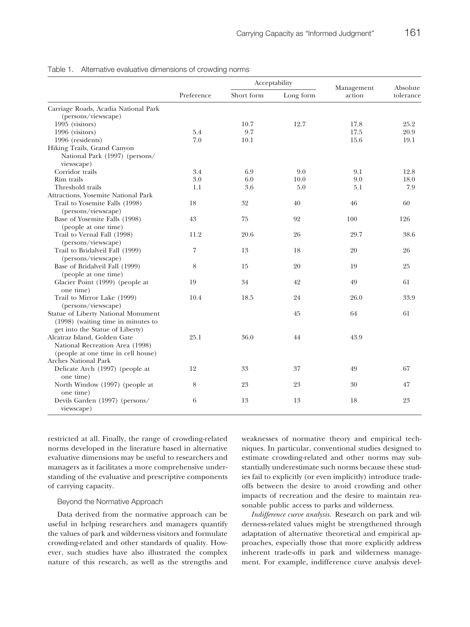|                                                       |            |            | Acceptability | Management | Absolute  |
|-------------------------------------------------------|------------|------------|---------------|------------|-----------|
|                                                       | Preference | Short form | Long form     | action     | tolerance |
| Carriage Roads, Acadia National Park                  |            |            |               |            |           |
| (persons/viewscape)                                   |            |            |               |            |           |
| 1995 (visitors)                                       |            | 10.7       | 12.7          | 17.8       | 25.2      |
| 1996 (visitors)                                       | 5.4        | 9.7        |               | 17.5       | 20.9      |
| 1996 (residents)                                      | 7.0        | 10.1       |               | 15.6       | 19.1      |
| Hiking Trails, Grand Canyon                           |            |            |               |            |           |
| National Park (1997) (persons/<br>viewscape)          |            |            |               |            |           |
| Corridor trails                                       | 3.4        | 6.9        | 9.0           | 9.1        | 12.8      |
| Rim trails                                            | 3.0        | 6.0        | 10.0          | 9.0        | 18.0      |
| Threshold trails                                      | 1.1        | 3.6        | 5.0           | 5.1        | 7.9       |
| Attractions, Yosemite National Park                   |            |            |               |            |           |
| Trail to Yosemite Falls (1998)<br>(persons/viewscape) | 18         | 32         | 40            | 46         | 60        |
| Base of Yosemite Falls (1998)                         | 43         | 75         | 92            | 100        | 126       |
| (people at one time)                                  |            |            |               |            |           |
| Trail to Vernal Fall (1998)                           | 11.2       | 20.6       | 26            | 29.7       | 38.6      |
| (persons/viewscape)                                   |            |            |               |            |           |
| Trail to Bridalveil Fall (1999)                       | 7          | 13         | 18            | 20         | 26        |
| (persons/viewscape)                                   |            |            |               |            |           |
| Base of Bridalveil Fall (1999)                        | 8          | 15         | 20            | 19         | 25        |
| (people at one time)                                  |            |            |               |            |           |
| Glacier Point (1999) (people at<br>one time)          | 19         | 34         | 42            | 49         | 61        |
| Trail to Mirror Lake (1999)<br>(persons/viewscape)    | 10.4       | 18.5       | 24            | 26.0       | 33.9      |
| Statue of Liberty National Monument                   |            |            | 45            | 64         | 61        |
| (1998) (waiting time in minutes to                    |            |            |               |            |           |
| get into the Statue of Liberty)                       |            |            |               |            |           |
| Alcatraz Island, Golden Gate                          | 25.1       | 36.0       | 44            | 43.9       |           |
| National Recreation Area (1998)                       |            |            |               |            |           |
| (people at one time in cell house)                    |            |            |               |            |           |
| Arches National Park                                  |            |            |               |            |           |
| Delicate Arch (1997) (people at<br>one time)          | 12         | 33         | 37            | 49         | 67        |
| North Window (1997) (people at<br>one time)           | 8          | 23         | 23            | 30         | 47        |
| Devils Garden (1997) (persons/<br>viewscape)          | 6          | 13         | 13            | 18         | 23        |

Table 1. Alternative evaluative dimensions of crowding norms

restricted at all. Finally, the range of crowding-related norms developed in the literature based in alternative evaluative dimensions may be useful to researchers and managers as it facilitates a more comprehensive understanding of the evaluative and prescriptive components of carrying capacity.

## Beyond the Normative Approach

Data derived from the normative approach can be useful in helping researchers and managers quantify the values of park and wilderness visitors and formulate crowding-related and other standards of quality. However, such studies have also illustrated the complex nature of this research, as well as the strengths and

weaknesses of normative theory and empirical techniques. In particular, conventional studies designed to estimate crowding-related and other norms may substantially underestimate such norms because these studies fail to explicitly (or even implicitly) introduce tradeoffs between the desire to avoid crowding and other impacts of recreation and the desire to maintain reasonable public access to parks and wilderness.

*Indifference curve analysis.* Research on park and wilderness-related values might be strengthened through adaptation of alternative theoretical and empirical approaches, especially those that more explicitly address inherent trade-offs in park and wilderness management. For example, indifference curve analysis devel-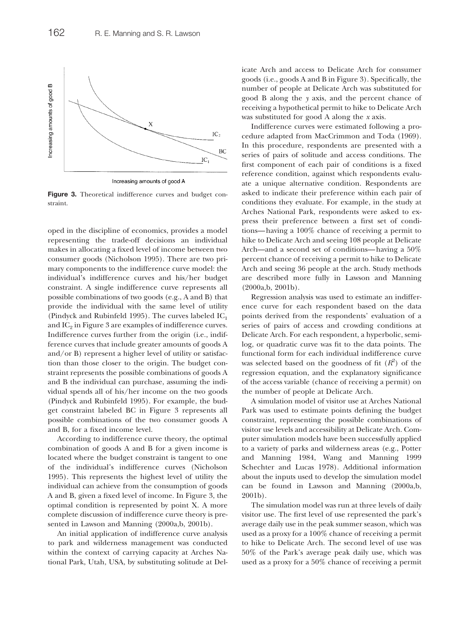

Increasing amounts of good A

**Figure 3.** Theoretical indifference curves and budget constraint.

oped in the discipline of economics, provides a model representing the trade-off decisions an individual makes in allocating a fixed level of income between two consumer goods (Nicholson 1995). There are two primary components to the indifference curve model: the individual's indifference curves and his/her budget constraint. A single indifference curve represents all possible combinations of two goods (e.g., A and B) that provide the individual with the same level of utility (Pindyck and Rubinfeld 1995). The curves labeled  $IC<sub>1</sub>$ and  $IC_2$  in Figure 3 are examples of indifference curves. Indifference curves further from the origin (i.e., indifference curves that include greater amounts of goods A and/or B) represent a higher level of utility or satisfaction than those closer to the origin. The budget constraint represents the possible combinations of goods A and B the individual can purchase, assuming the individual spends all of his/her income on the two goods (Pindyck and Rubinfeld 1995). For example, the budget constraint labeled BC in Figure 3 represents all possible combinations of the two consumer goods A and B, for a fixed income level.

According to indifference curve theory, the optimal combination of goods A and B for a given income is located where the budget constraint is tangent to one of the individual's indifference curves (Nicholson 1995). This represents the highest level of utility the individual can achieve from the consumption of goods A and B, given a fixed level of income. In Figure 3, the optimal condition is represented by point X. A more complete discussion of indifference curve theory is presented in Lawson and Manning (2000a,b, 2001b).

An initial application of indifference curve analysis to park and wilderness management was conducted within the context of carrying capacity at Arches National Park, Utah, USA, by substituting solitude at Delicate Arch and access to Delicate Arch for consumer goods (i.e., goods A and B in Figure 3). Specifically, the number of people at Delicate Arch was substituted for good B along the *y* axis, and the percent chance of receiving a hypothetical permit to hike to Delicate Arch was substituted for good A along the *x* axis.

Indifference curves were estimated following a procedure adapted from MacCrimmon and Toda (1969). In this procedure, respondents are presented with a series of pairs of solitude and access conditions. The first component of each pair of conditions is a fixed reference condition, against which respondents evaluate a unique alternative condition. Respondents are asked to indicate their preference within each pair of conditions they evaluate. For example, in the study at Arches National Park, respondents were asked to express their preference between a first set of conditions—having a 100% chance of receiving a permit to hike to Delicate Arch and seeing 108 people at Delicate Arch—and a second set of conditions—having a 50% percent chance of receiving a permit to hike to Delicate Arch and seeing 36 people at the arch. Study methods are described more fully in Lawson and Manning (2000a,b, 2001b).

Regression analysis was used to estimate an indifference curve for each respondent based on the data points derived from the respondents' evaluation of a series of pairs of access and crowding conditions at Delicate Arch. For each respondent, a hyperbolic, semilog, or quadratic curve was fit to the data points. The functional form for each individual indifference curve was selected based on the goodness of fit  $(R^2)$  of the regression equation, and the explanatory significance of the access variable (chance of receiving a permit) on the number of people at Delicate Arch.

A simulation model of visitor use at Arches National Park was used to estimate points defining the budget constraint, representing the possible combinations of visitor use levels and accessibility at Delicate Arch. Computer simulation models have been successfully applied to a variety of parks and wilderness areas (e.g., Potter and Manning 1984, Wang and Manning 1999 Schechter and Lucas 1978). Additional information about the inputs used to develop the simulation model can be found in Lawson and Manning (2000a,b, 2001b).

The simulation model was run at three levels of daily visitor use. The first level of use represented the park's average daily use in the peak summer season, which was used as a proxy for a 100% chance of receiving a permit to hike to Delicate Arch. The second level of use was 50% of the Park's average peak daily use, which was used as a proxy for a 50% chance of receiving a permit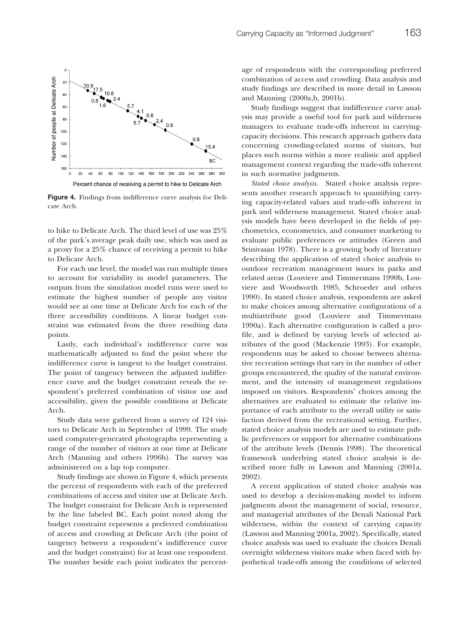

**Figure 4.** Findings from indifference curve analysis for Delicate Arch.

to hike to Delicate Arch. The third level of use was 25% of the park's average peak daily use, which was used as a proxy for a 25% chance of receiving a permit to hike to Delicate Arch.

For each use level, the model was run multiple times to account for variability in model parameters. The outputs from the simulation model runs were used to estimate the highest number of people any visitor would see at one time at Delicate Arch for each of the three accessibility conditions. A linear budget constraint was estimated from the three resulting data points.

Lastly, each individual's indifference curve was mathematically adjusted to find the point where the indifference curve is tangent to the budget constraint. The point of tangency between the adjusted indifference curve and the budget constraint reveals the respondent's preferred combination of visitor use and accessibility, given the possible conditions at Delicate Arch.

Study data were gathered from a survey of 124 visitors to Delicate Arch in September of 1999. The study used computer-generated photographs representing a range of the number of visitors at one time at Delicate Arch (Manning and others 1996b). The survey was administered on a lap top computer.

Study findings are shown in Figure 4, which presents the percent of respondents with each of the preferred combinations of access and visitor use at Delicate Arch. The budget constraint for Delicate Arch is represented by the line labeled BC. Each point noted along the budget constraint represents a preferred combination of access and crowding at Delicate Arch (the point of tangency between a respondent's indifference curve and the budget constraint) for at least one respondent. The number beside each point indicates the percentage of respondents with the corresponding preferred combination of access and crowding. Data analysis and study findings are described in more detail in Lawson and Manning (2000a,b, 2001b).

Study findings suggest that indifference curve analysis may provide a useful tool for park and wilderness managers to evaluate trade-offs inherent in carryingcapacity decisions. This research approach gathers data concerning crowding-related norms of visitors, but places such norms within a more realistic and applied management context regarding the trade-offs inherent in such normative judgments.

*Stated choice analysis.* Stated choice analysis represents another research approach to quantifying carrying capacity-related values and trade-offs inherent in park and wilderness management. Stated choice analysis models have been developed in the fields of psychometrics, econometrics, and consumer marketing to evaluate public preferences or attitudes (Green and Srinivasan 1978). There is a growing body of literature describing the application of stated choice analysis to outdoor recreation management issues in parks and related areas (Louviere and Timmermans 1990b, Louviere and Woodworth 1985, Schroeder and others 1990). In stated choice analysis, respondents are asked to make choices among alternative configurations of a multiattribute good (Louviere and Timmermans 1990a). Each alternative configuration is called a profile, and is defined by varying levels of selected attributes of the good (Mackenzie 1993). For example, respondents may be asked to choose between alternative recreation settings that vary in the number of other groups encountered, the quality of the natural environment, and the intensity of management regulations imposed on visitors. Respondents' choices among the alternatives are evaluated to estimate the relative importance of each attribute to the overall utility or satisfaction derived from the recreational setting. Further, stated choice analysis models are used to estimate public preferences or support for alternative combinations of the attribute levels (Dennis 1998). The theoretical framework underlying stated choice analysis is described more fully in Lawson and Manning (2001a, 2002).

A recent application of stated choice analysis was used to develop a decision-making model to inform judgments about the management of social, resource, and managerial attributes of the Denali National Park wilderness, within the context of carrying capacity (Lawson and Manning 2001a, 2002). Specifically, stated choice analysis was used to evaluate the choices Denali overnight wilderness visitors make when faced with hypothetical trade-offs among the conditions of selected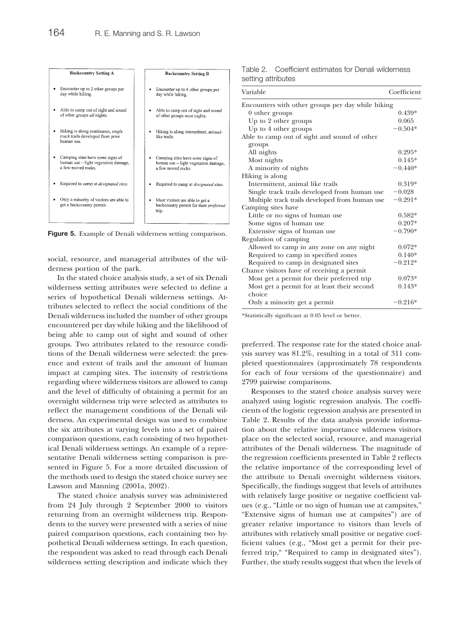| <b>Backcountry Setting A</b>                                                                   | <b>Backcountry Setting B</b>                                                                   |
|------------------------------------------------------------------------------------------------|------------------------------------------------------------------------------------------------|
| Encounter up to 2 other groups per<br>day while hiking.                                        | Encounter up to 4 other groups per<br>day while hiking.                                        |
| Able to camp out of sight and sound<br>of other groups all nights.                             | Able to camp out of sight and sound<br>of other groups most nights.                            |
| Hiking is along continuous, single<br>track trails developed from prior<br>human use.          | Hiking is along intermittent, animal-<br>like trails.                                          |
| Camping sites have some signs of<br>human use - light vegetation damage,<br>a few moved rocks. | Camping sites have some signs of<br>human use - light vegetation damage,<br>a few moved rocks. |
| Required to camp at <i>designated sites</i> .                                                  | Required to camp at <i>designated sites</i> .                                                  |
| Only a minority of visitors are able to<br>get a backcountry permit.                           | Most visitors are able to get a<br>backcountry permit for their preferred<br>trip.             |
|                                                                                                |                                                                                                |

**Figure 5.** Example of Denali wilderness setting comparison.

social, resource, and managerial attributes of the wilderness portion of the park.

In the stated choice analysis study, a set of six Denali wilderness setting attributes were selected to define a series of hypothetical Denali wilderness settings. Attributes selected to reflect the social conditions of the Denali wilderness included the number of other groups encountered per day while hiking and the likelihood of being able to camp out of sight and sound of other groups. Two attributes related to the resource conditions of the Denali wilderness were selected: the presence and extent of trails and the amount of human impact at camping sites. The intensity of restrictions regarding where wilderness visitors are allowed to camp and the level of difficulty of obtaining a permit for an overnight wilderness trip were selected as attributes to reflect the management conditions of the Denali wilderness. An experimental design was used to combine the six attributes at varying levels into a set of paired comparison questions, each consisting of two hypothetical Denali wilderness settings. An example of a representative Denali wilderness setting comparison is presented in Figure 5. For a more detailed discussion of the methods used to design the stated choice survey see Lawson and Manning (2001a, 2002).

The stated choice analysis survey was administered from 24 July through 2 September 2000 to visitors returning from an overnight wilderness trip. Respondents to the survey were presented with a series of nine paired comparison questions, each containing two hypothetical Denali wilderness settings. In each question, the respondent was asked to read through each Denali wilderness setting description and indicate which they

|                    | Table 2. Coefficient estimates for Denali wilderness |  |  |  |
|--------------------|------------------------------------------------------|--|--|--|
| setting attributes |                                                      |  |  |  |

| Variable                                          | Coefficient |
|---------------------------------------------------|-------------|
| Encounters with other groups per day while hiking |             |
| 0 other groups                                    | $0.439*$    |
| Up to 2 other groups                              | 0.065       |
| Up to 4 other groups                              | $-0.504*$   |
| Able to camp out of sight and sound of other      |             |
| groups                                            |             |
| All nights                                        | $0.295*$    |
| Most nights                                       | $0.145*$    |
| A minority of nights                              | $-0.440*$   |
| Hiking is along                                   |             |
| Intermittent, animal like trails                  | $0.319*$    |
| Single track trails developed from human use      | $-0.028$    |
| Multiple track trails developed from human use    | $-0.291*$   |
| Camping sites have                                |             |
| Little or no signs of human use                   | $0.582*$    |
| Some signs of human use                           | $0.207*$    |
| Extensive signs of human use                      | $-0.790*$   |
| Regulation of camping                             |             |
| Allowed to camp in any zone on any night          | $0.072*$    |
| Required to camp in specified zones               | $0.140*$    |
| Required to camp in designated sites              | $-0.212*$   |
| Chance visitors have of receiving a permit        |             |
| Most get a permit for their preferred trip        | $0.073*$    |
| Most get a permit for at least their second       | $0.143*$    |
| choice                                            |             |
| Only a minority get a permit                      | $-0.216*$   |

\*Statistically significant at 0.05 level or better.

preferred. The response rate for the stated choice analysis survey was 81.2%, resulting in a total of 311 completed questionnaires (approximately 78 respondents for each of four versions of the questionnaire) and 2799 pairwise comparisons.

Responses to the stated choice analysis survey were analyzed using logistic regression analysis. The coefficients of the logistic regression analysis are presented in Table 2. Results of the data analysis provide information about the relative importance wilderness visitors place on the selected social, resource, and managerial attributes of the Denali wilderness. The magnitude of the regression coefficients presented in Table 2 reflects the relative importance of the corresponding level of the attribute to Denali overnight wilderness visitors. Specifically, the findings suggest that levels of attributes with relatively large positive or negative coefficient values (e.g., "Little or no sign of human use at campsites," "Extensive signs of human use at campsites") are of greater relative importance to visitors than levels of attributes with relatively small positive or negative coefficient values (e.g., "Most get a permit for their preferred trip," "Required to camp in designated sites"). Further, the study results suggest that when the levels of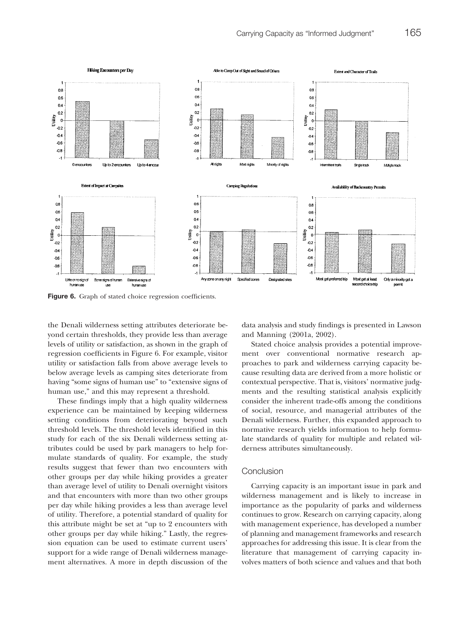

Figure 6. Graph of stated choice regression coefficients.

the Denali wilderness setting attributes deteriorate beyond certain thresholds, they provide less than average levels of utility or satisfaction, as shown in the graph of regression coefficients in Figure 6. For example, visitor utility or satisfaction falls from above average levels to below average levels as camping sites deteriorate from having "some signs of human use" to "extensive signs of human use," and this may represent a threshold.

These findings imply that a high quality wilderness experience can be maintained by keeping wilderness setting conditions from deteriorating beyond such threshold levels. The threshold levels identified in this study for each of the six Denali wilderness setting attributes could be used by park managers to help formulate standards of quality. For example, the study results suggest that fewer than two encounters with other groups per day while hiking provides a greater than average level of utility to Denali overnight visitors and that encounters with more than two other groups per day while hiking provides a less than average level of utility. Therefore, a potential standard of quality for this attribute might be set at "up to 2 encounters with other groups per day while hiking." Lastly, the regression equation can be used to estimate current users' support for a wide range of Denali wilderness management alternatives. A more in depth discussion of the

data analysis and study findings is presented in Lawson and Manning (2001a, 2002).

Stated choice analysis provides a potential improvement over conventional normative research approaches to park and wilderness carrying capacity because resulting data are derived from a more holistic or contextual perspective. That is, visitors' normative judgments and the resulting statistical analysis explicitly consider the inherent trade-offs among the conditions of social, resource, and managerial attributes of the Denali wilderness. Further, this expanded approach to normative research yields information to help formulate standards of quality for multiple and related wilderness attributes simultaneously.

## Conclusion

Carrying capacity is an important issue in park and wilderness management and is likely to increase in importance as the popularity of parks and wilderness continues to grow. Research on carrying capacity, along with management experience, has developed a number of planning and management frameworks and research approaches for addressing this issue. It is clear from the literature that management of carrying capacity involves matters of both science and values and that both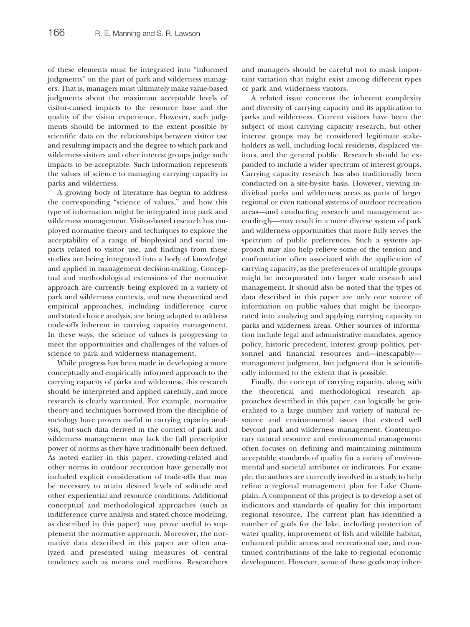of these elements must be integrated into "informed judgments" on the part of park and wilderness managers. That is, managers must ultimately make value-based judgments about the maximum acceptable levels of visitor-caused impacts to the resource base and the quality of the visitor experience. However, such judgments should be informed to the extent possible by scientific data on the relationships between visitor use and resulting impacts and the degree to which park and wilderness visitors and other interest groups judge such impacts to be acceptable. Such information represents the values of science to managing carrying capacity in parks and wilderness.

A growing body of literature has begun to address the corresponding "science of values," and how this type of information might be integrated into park and wilderness management. Visitor-based research has employed normative theory and techniques to explore the acceptability of a range of biophysical and social impacts related to visitor use, and findings from these studies are being integrated into a body of knowledge and applied in management decision-making. Conceptual and methodological extensions of the normative approach are currently being explored in a variety of park and wilderness contexts, and new theoretical and empirical approaches, including indifference curve and stated choice analysis, are being adapted to address trade-offs inherent in carrying capacity management. In these ways, the science of values is progressing to meet the opportunities and challenges of the values of science to park and wilderness management.

While progress has been made in developing a more conceptually and empirically informed approach to the carrying capacity of parks and wilderness, this research should be interpreted and applied carefully, and more research is clearly warranted. For example, normative theory and techniques borrowed from the discipline of sociology have proven useful in carrying capacity analysis, but such data derived in the context of park and wilderness management may lack the full prescriptive power of norms as they have traditionally been defined. As noted earlier in this paper, crowding-related and other norms in outdoor recreation have generally not included explicit consideration of trade-offs that may be necessary to attain desired levels of solitude and other experiential and resource conditions. Additional conceptual and methodological approaches (such as indifference curve analysis and stated choice modeling, as described in this paper) may prove useful to supplement the normative approach. Moreover, the normative data described in this paper are often analyzed and presented using measures of central tendency such as means and medians. Researchers

and managers should be careful not to mask important variation that might exist among different types of park and wilderness visitors.

A related issue concerns the inherent complexity and diversity of carrying capacity and its application to parks and wilderness. Current visitors have been the subject of most carrying capacity research, but other interest groups may be considered legitimate stakeholders as well, including local residents, displaced visitors, and the general public. Research should be expanded to include a wider spectrum of interest groups. Carrying capacity research has also traditionally been conducted on a site-by-site basis. However, viewing individual parks and wilderness areas as parts of larger regional or even national systems of outdoor recreation areas—and conducting research and management accordingly—may result in a more diverse system of park and wilderness opportunities that more fully serves the spectrum of public preferences. Such a systems approach may also help relieve some of the tension and confrontation often associated with the application of carrying capacity, as the preferences of multiple groups might be incorporated into larger scale research and management. It should also be noted that the types of data described in this paper are only one source of information on public values that might be incorporated into analyzing and applying carrying capacity to parks and wilderness areas. Other sources of information include legal and administrative mandates, agency policy, historic precedent, interest group politics, personnel and financial resources and—inescapably management judgment, but judgment that is scientifically informed to the extent that is possible.

Finally, the concept of carrying capacity, along with the theoretical and methodological research approaches described in this paper, can logically be generalized to a large number and variety of natural resource and environmental issues that extend well beyond park and wilderness management. Contemporary natural resource and environmental management often focuses on defining and maintaining minimum acceptable standards of quality for a variety of environmental and societal attributes or indicators. For example, the authors are currently involved in a study to help refine a regional management plan for Lake Champlain. A component of this project is to develop a set of indicators and standards of quality for this important regional resource. The current plan has identified a number of goals for the lake, including protection of water quality, improvement of fish and wildlife habitat, enhanced public access and recreational use, and continued contributions of the lake to regional economic development. However, some of these goals may inher-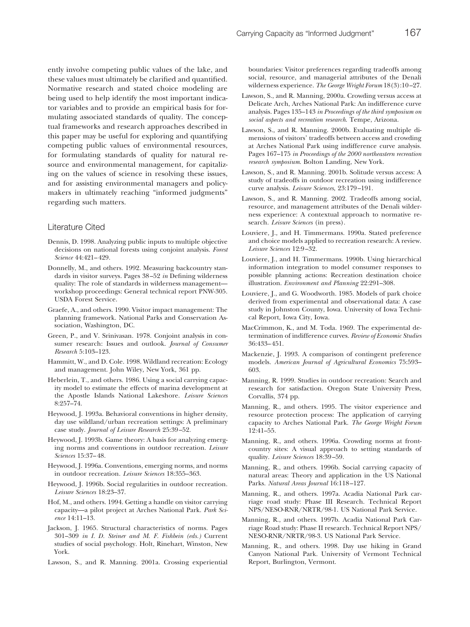ently involve competing public values of the lake, and these values must ultimately be clarified and quantified. Normative research and stated choice modeling are being used to help identify the most important indicator variables and to provide an empirical basis for formulating associated standards of quality. The conceptual frameworks and research approaches described in this paper may be useful for exploring and quantifying competing public values of environmental resources, for formulating standards of quality for natural resource and environmental management, for capitalizing on the values of science in resolving these issues, and for assisting environmental managers and policymakers in ultimately reaching "informed judgments" regarding such matters.

### Literature Cited

- Dennis, D. 1998. Analyzing public inputs to multiple objective decisions on national forests using conjoint analysis. *Forest Science* 44:421–429.
- Donnelly, M., and others. 1992. Measuring backcountry standards in visitor surveys. Pages 38–52 *in* Defining wilderness quality: The role of standards in wilderness management workshop proceedings: General technical report PNW-305. USDA Forest Service.
- Graefe, A., and others. 1990. Visitor impact management: The planning framework. National Parks and Conservation Association, Washington, DC.
- Green, P., and V. Srinivasan. 1978. Conjoint analysis in consumer research: Issues and outlook. *Journal of Consumer Research* 5:103–123.
- Hammitt, W., and D. Cole. 1998. Wildland recreation: Ecology and management. John Wiley, New York, 361 pp.
- Heberlein, T., and others. 1986. Using a social carrying capacity model to estimate the effects of marina development at the Apostle Islands National Lakeshore. *Leisure Sciences* 8:257–74.
- Heywood, J. 1993a. Behavioral conventions in higher density, day use wildland/urban recreation settings: A preliminary case study. *Journal of Leisure Research* 25:39–52.
- Heywood, J. 1993b. Game theory: A basis for analyzing emerging norms and conventions in outdoor recreation. *Leisure Sciences* 15:37–48.
- Heywood, J. 1996a. Conventions, emerging norms, and norms in outdoor recreation. *Leisure Sciences* 18:355–363.
- Heywood, J. 1996b. Social regularities in outdoor recreation. *Leisure Sciences* 18:23–37.
- Hof, M., and others. 1994. Getting a handle on visitor carrying capacity—a pilot project at Arches National Park. *Park Science* 14:11–13.
- Jackson, J. 1965. Structural characteristics of norms. Pages 301–309 *in I. D. Steiner and M. F. Fishbein (eds.)* Current studies of social psychology. Holt, Rinehart, Winston, New York.
- Lawson, S., and R. Manning. 2001a. Crossing experiential

boundaries: Visitor preferences regarding tradeoffs among social, resource, and managerial attributes of the Denali wilderness experience. *The George Wright Forum* 18(3):10–27.

- Lawson, S., and R. Manning, 2000a. Crowding versus access at Delicate Arch, Arches National Park: An indifference curve analysis. Pages 135–143 *in Proceedings of the third symposium on social aspects and recreation research*. Tempe, Arizona.
- Lawson, S., and R. Manning. 2000b. Evaluating multiple dimensions of visitors' tradeoffs between access and crowding at Arches National Park using indifference curve analysis. Pages 167–175 *in Proceedings of the 2000 northeastern recreation research symposium*. Bolton Landing, New York.
- Lawson, S., and R. Manning. 2001b. Solitude versus access: A study of tradeoffs in outdoor recreation using indifference curve analysis. *Leisure Sciences*, 23:179–191.
- Lawson, S., and R. Manning. 2002. Tradeoffs among social, resource, and management attributes of the Denali wilderness experience: A contextual approach to normative research. *Leisure Sciences* (in press).
- Louviere, J., and H. Timmermans. 1990a. Stated preference and choice models applied to recreation research: A review. *Leisure Sciences* 12:9–32.
- Louviere, J., and H. Timmermans. 1990b. Using hierarchical information integration to model consumer responses to possible planning actions: Recreation destination choice illustration. *Environment and Planning* 22:291–308.
- Louviere, J., and G. Woodworth. 1985. Models of park choice derived from experimental and observational data: A case study in Johnston County, Iowa. University of Iowa Technical Report, Iowa City, Iowa.
- MacCrimmon, K., and M. Toda. 1969. The experimental determination of indifference curves. *Review of Economic Studies* 36:433–451.
- Mackenzie, J. 1993. A comparison of contingent preference models. *American Journal of Agricultural Economics* 75:593– 603.
- Manning, R. 1999. Studies in outdoor recreation: Search and research for satisfaction. Oregon State University Press, Corvallis, 374 pp.
- Manning, R., and others. 1995. The visitor experience and resource protection process: The application of carrying capacity to Arches National Park. *The George Wright Forum* 12:41–55.
- Manning, R., and others. 1996a. Crowding norms at frontcountry sites: A visual approach to setting standards of quality. *Leisure Sciences* 18:39–59.
- Manning, R., and others. 1996b. Social carrying capacity of natural areas: Theory and application in the US National Parks. *Natural Areas Journal* 16:118–127.
- Manning, R., and others. 1997a. Acadia National Park carriage road study: Phase III Research. Technical Report NPS/NESO-RNR/NRTR/98-1. US National Park Service.
- Manning, R., and others. 1997b. Acadia National Park Carriage Road study: Phase II research. Technical Report NPS/ NESO-RNR/NRTR/98-3. US National Park Service.
- Manning, R., and others. 1998. Day use hiking in Grand Canyon National Park. University of Vermont Technical Report, Burlington, Vermont.